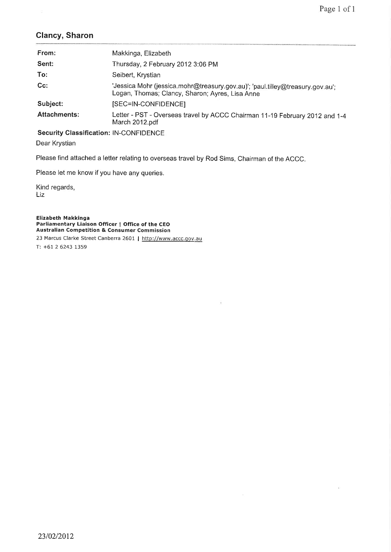## GIancy, Sharon

| From:               | Makkinga, Elizabeth                                                                                                              |
|---------------------|----------------------------------------------------------------------------------------------------------------------------------|
| Sent:               | Thursday, 2 February 2012 3:06 PM                                                                                                |
| To:                 | Seibert, Krystian                                                                                                                |
| $Cc$ :              | 'Jessica Mohr (jessica.mohr@treasury.gov.au)'; 'paul.tilley@treasury.gov.au';<br>Logan, Thomas; Clancy, Sharon; Ayres, Lisa Anne |
| Subject:            | [SEC=IN-CONFIDENCE]                                                                                                              |
| <b>Attachments:</b> | Letter - PST - Overseas travel by ACCC Chairman 11-19 February 2012 and 1-4<br>March 2012.pdf                                    |

Security Classification: lN-CONFIDENCE

Dear Krystian

Please find attached a letter relating to overseas travel by Rod Sims, Chairman of the ACCC.

Please let me know if you have any queries.

Kind regards, Liz

Elizabeth Makkinga Parliamentary Liaison Officer | Office of the CEO Australian Competition & Consumer Commission 23 Marcus Clarke Street Canberra 2601 | http://www.accc.gov.au

T: +61 2 6243 L359